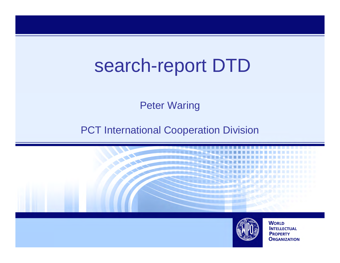## search-report DTD

Peter Waring

**PCT International Cooperation Division** 



**ORGANIZATION**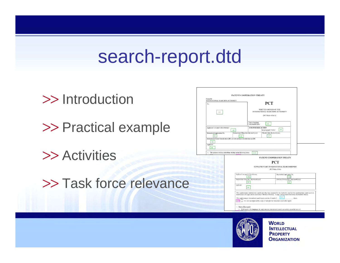### search-report.dtd

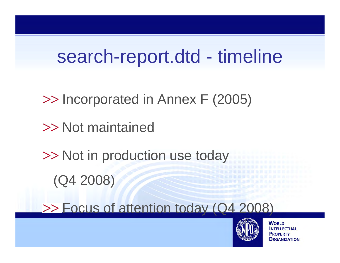## search-report.dtd - timeline

- Incorporated in Annex F (2005)
- >> Not maintained
- >> Not in production use today
	- (Q4 2008)

>> Focus of attention today (Q4 2008)

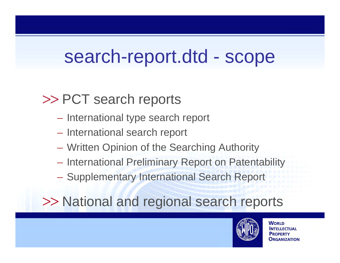### search-report.dtd - scope

### >> PCT search reports

- $\mathcal{L}_{\mathcal{A}}$  $-$  International type search report
- $\mathcal{L}_{\mathcal{A}}$ – International search report
- $\mathcal{L}_{\mathcal{A}}$ Written Opinion of the Searching Authority
- $\mathcal{L}_{\mathcal{A}}$ **– International Preliminary Report on Patentability**
- $\mathcal{L}_{\mathcal{A}}$ **- Supplementary International Search Report**

>> National and regional search reports

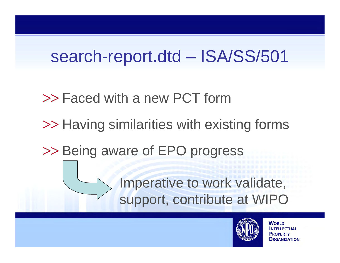### search-report.dtd – ISA/SS/501

- Faced with a new PCT form
- >> Having similarities with existing forms
- >> Being aware of EPO progress

Imperative to work validate, support, contribute at WIPO

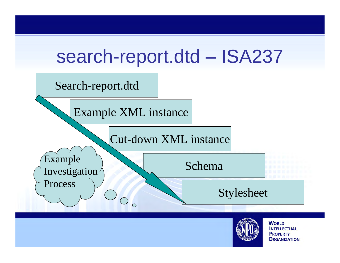

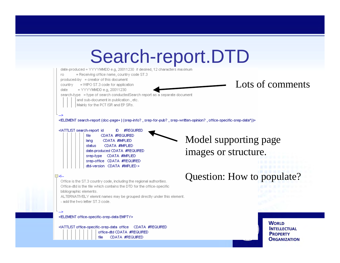## Search-report.DTD



<!ATTLIST search-report\_id **#REQUIRED** ID. file CDATA #REQUIRED CDATA #IMPLIED lang **CDATA #IMPLIED** status date-produced CDATA #REQUIRED srep-type CDATA #IMPLIED srep-office CDATA #REQUIRED dtd-version CDATA #IMPLIED >

#### 日<!--

Office is the ST.3 country code, including the regional authorities. Office-dtd is the file which contains the DTD for the office-specific bibliographic elements.

ALTERNATIVELY elemnt names may be grouped directly under this element. - add the two letter ST.3 code.

<!ELEMENT office-specific-srep-data EMPTY>

office-dtd CDATA #REQUIRED CDATA #REQUIRED

Model supporting page images or structure.

Question: How to populate?

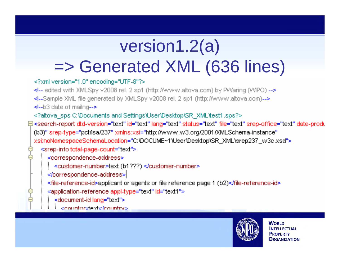### version1.2(a) =>Generated XML (636 lines)

### <?xml version="1.0" encoding="UTF-8"?>

- <!-- edited with XMLSpy v2008 rel. 2 sp1 (http://www.altova.com) by PWaring (WIPO) --> <!--Sample XML file generated by XMLSpy v2008 rel. 2 sp1 (http://www.altova.com)-->
- <!--b3 date of mailng-->
- <?altoval\_sps C:\Documents and Settings\User\Desktop\SR\_XML\test1.sps?>
- ⊟<search-report dtd-version="text" id="text" lang="text" status="text" file="text" srep-office="text" date-produ (b3)" srep-type="pct/isa/237" xmlns:xsi="http://www.w3.org/2001/XMLSchema-instance" xsitnoNamespaceSchemaLocation="C:\DOCUME~1\User\Desktop\SR\_XML\srep237\_w3c.xsd"> <srep-info total-page-count="text">
	- <correspondence-address>
		- <customer-number>text (b1???) </customer-number>
	- </correspondence-address>
	- <file-reference-id>applicant or agents or file reference page 1 (b2)</file-reference-id>
	- <application-reference appl-type="text" id="text1">
		- <document-id lang="text">
		- conjuntry steptic footuntry's

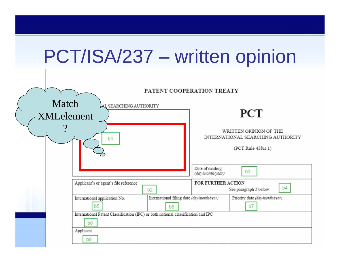| PCT/ISA/237 - written opinion                                |                                                                                         |                                                              |                                                                                   |                                         |
|--------------------------------------------------------------|-----------------------------------------------------------------------------------------|--------------------------------------------------------------|-----------------------------------------------------------------------------------|-----------------------------------------|
| PATENT COOPERATION TREATY<br>Match<br>AL SEARCHING AUTHORITY |                                                                                         |                                                              |                                                                                   |                                         |
| <b>XMLelement</b>                                            |                                                                                         |                                                              | <b>PCT</b>                                                                        |                                         |
| b <sub>1</sub>                                               |                                                                                         |                                                              | WRITTEN OPINION OF THE<br>INTERNATIONAL SEARCHING AUTHORITY<br>(PCT Rule 43bis.1) |                                         |
|                                                              |                                                                                         |                                                              | Date of mailing<br>(day/month/year)                                               | b <sub>3</sub>                          |
| Applicant's or agent's file reference                        |                                                                                         | b2                                                           | FOR FURTHER ACTION                                                                | b <sub>4</sub><br>See paragraph 2 below |
|                                                              | International application No.<br>b <sub>5</sub>                                         | International filing date (day/month/year)<br>b <sub>6</sub> |                                                                                   | Priority date (day/month/year)<br>b7    |
|                                                              | International Patent Classification (IPC) or both national classification and IPC<br>b8 |                                                              |                                                                                   |                                         |
|                                                              | Applicant<br>b9.                                                                        |                                                              |                                                                                   |                                         |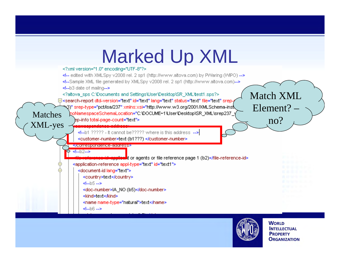#### **Marked Up XML** <!-- edited with XMLSpy v2008 rel. 2 sp1 (http://www.altova.com) by PWaring (WIPO) --> <!--Sample XML file generated by XMLSpy v2008 rel. 2 sp1 (http://www.altova.com)--> <!-- b3 date of mailng--> <?altovallisps.C:\Documents.and.Settings\User\Desktop\SR\_XML\test1.sps?> Match XML ⊟<search-report dtd-version="text" id="text" lang="text" status="text" file="text" srep-N3)" srep-type="pct/isa/237" xmlns:xsi="http://www.w3.org/2001/XMLSchema-inst Element? – Matches polynomespaceSchemaLocation="C:\DOCUME~1\User\Desktop\SR\_XML\srep237\_<br>XML-yes example alternative count="text"><br>state is this address --> no?<customer-number>text (b1???) </customer-number> stromes condence-accresse **<!--b2-->** at or agents or file reference page 1 (b2)</file-reference-id> <application-reference appl-type="text" id="text1"> <document-id lang="text"> <country>text</country>  $d - b5 -$ <doc-number>IA\_NO (b5)</doc-number> ≼kind>text≼/kind> <name name-type="natural">text</name>  $4 - b6 - b$

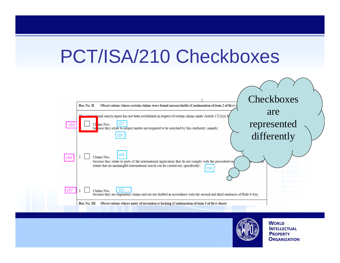## PCT/ISA/210 Checkboxes



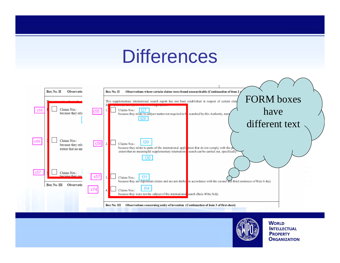## **Differences**



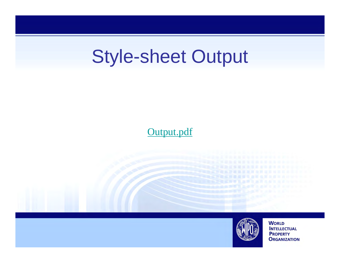## Style-sheet Output

### Output.pdf

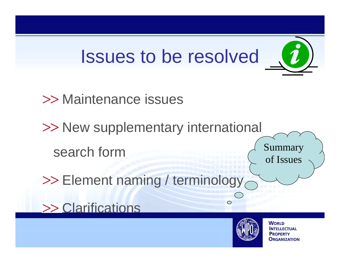